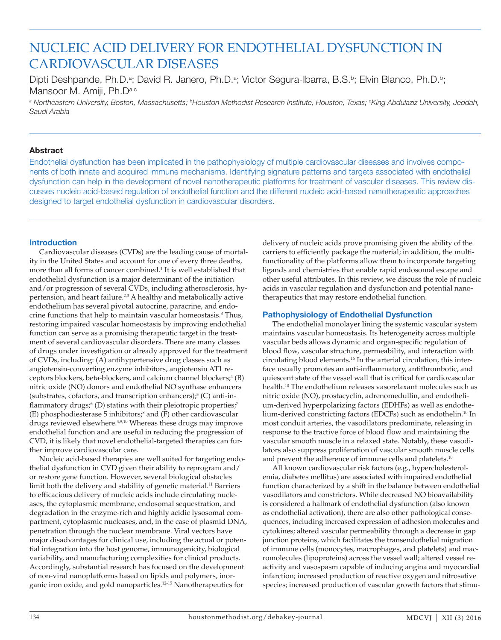# NUCLEIC ACID DELIVERY FOR ENDOTHELIAL DYSFUNCTION IN CARDIOVASCULAR DISEASES

Dipti Deshpande, Ph.D.<sup>a</sup>; David R. Janero, Ph.D.<sup>a</sup>; Victor Segura-Ibarra, B.S.<sup>b</sup>; Elvin Blanco, Ph.D.<sup>b</sup>; Mansoor M. Amiji, Ph.Da,c

*a Northeastern University, Boston, Massachusetts; bHouston Methodist Research Institute, Houston, Texas; c King Abdulaziz University, Jeddah, Saudi Arabia*

#### **Abstract**

Endothelial dysfunction has been implicated in the pathophysiology of multiple cardiovascular diseases and involves components of both innate and acquired immune mechanisms. Identifying signature patterns and targets associated with endothelial dysfunction can help in the development of novel nanotherapeutic platforms for treatment of vascular diseases. This review discusses nucleic acid-based regulation of endothelial function and the different nucleic acid-based nanotherapeutic approaches designed to target endothelial dysfunction in cardiovascular disorders.

# **Introduction**

Cardiovascular diseases (CVDs) are the leading cause of mortality in the United States and account for one of every three deaths, more than all forms of cancer combined.<sup>1</sup> It is well established that endothelial dysfunction is a major determinant of the initiation and/or progression of several CVDs, including atherosclerosis, hypertension, and heart failure.<sup>2,3</sup> A healthy and metabolically active endothelium has several pivotal autocrine, paracrine, and endocrine functions that help to maintain vascular homeostasis.3 Thus, restoring impaired vascular homeostasis by improving endothelial function can serve as a promising therapeutic target in the treatment of several cardiovascular disorders. There are many classes of drugs under investigation or already approved for the treatment of CVDs, including: (A) antihypertensive drug classes such as angiotensin-converting enzyme inhibitors, angiotensin AT1 receptors blockers, beta-blockers, and calcium channel blockers;<sup>4</sup> (B) nitric oxide (NO) donors and endothelial NO synthase enhancers (substrates, cofactors, and transcription enhancers) $;^{5}$  (C) anti-inflammatory drugs;<sup>6</sup> (D) statins with their pleiotropic properties;<sup>7</sup>  $(E)$  phosphodiesterase 5 inhibitors,<sup>8</sup> and  $(F)$  other cardiovascular drugs reviewed elsewhere.4,9,10 Whereas these drugs may improve endothelial function and are useful in reducing the progression of CVD, it is likely that novel endothelial-targeted therapies can further improve cardiovascular care.

Nucleic acid-based therapies are well suited for targeting endothelial dysfunction in CVD given their ability to reprogram and/ or restore gene function. However, several biological obstacles limit both the delivery and stability of genetic material.<sup>11</sup> Barriers to efficacious delivery of nucleic acids include circulating nucleases, the cytoplasmic membrane, endosomal sequestration, and degradation in the enzyme-rich and highly acidic lysosomal compartment, cytoplasmic nucleases, and, in the case of plasmid DNA, penetration through the nuclear membrane. Viral vectors have major disadvantages for clinical use, including the actual or potential integration into the host genome, immunogenicity, biological variability, and manufacturing complexities for clinical products. Accordingly, substantial research has focused on the development of non-viral nanoplatforms based on lipids and polymers, inorganic iron oxide, and gold nanoparticles.12-15 Nanotherapeutics for

delivery of nucleic acids prove promising given the ability of the carriers to efficiently package the material; in addition, the multifunctionality of the platforms allow them to incorporate targeting ligands and chemistries that enable rapid endosomal escape and other useful attributes. In this review, we discuss the role of nucleic acids in vascular regulation and dysfunction and potential nanotherapeutics that may restore endothelial function.

# **Pathophysiology of Endothelial Dysfunction**

The endothelial monolayer lining the systemic vascular system maintains vascular homeostasis. Its heterogeneity across multiple vascular beds allows dynamic and organ-specific regulation of blood flow, vascular structure, permeability, and interaction with circulating blood elements.16 In the arterial circulation, this interface usually promotes an anti-inflammatory, antithrombotic, and quiescent state of the vessel wall that is critical for cardiovascular health.10 The endothelium releases vasorelaxant molecules such as nitric oxide (NO), prostacyclin, adrenomedullin, and endothelium-derived hyperpolarizing factors (EDHFs) as well as endothelium-derived constricting factors (EDCFs) such as endothelin.10 In most conduit arteries, the vasodilators predominate, releasing in response to the tractive force of blood flow and maintaining the vascular smooth muscle in a relaxed state. Notably, these vasodilators also suppress proliferation of vascular smooth muscle cells and prevent the adherence of immune cells and platelets.<sup>10</sup>

All known cardiovascular risk factors (e.g., hypercholesterolemia, diabetes mellitus) are associated with impaired endothelial function characterized by a shift in the balance between endothelial vasodilators and constrictors. While decreased NO bioavailability is considered a hallmark of endothelial dysfunction (also known as endothelial activation), there are also other pathological consequences, including increased expression of adhesion molecules and cytokines; altered vascular permeability through a decrease in gap junction proteins, which facilitates the transendothelial migration of immune cells (monocytes, macrophages, and platelets) and macromolecules (lipoproteins) across the vessel wall; altered vessel reactivity and vasospasm capable of inducing angina and myocardial infarction; increased production of reactive oxygen and nitrosative species; increased production of vascular growth factors that stimu-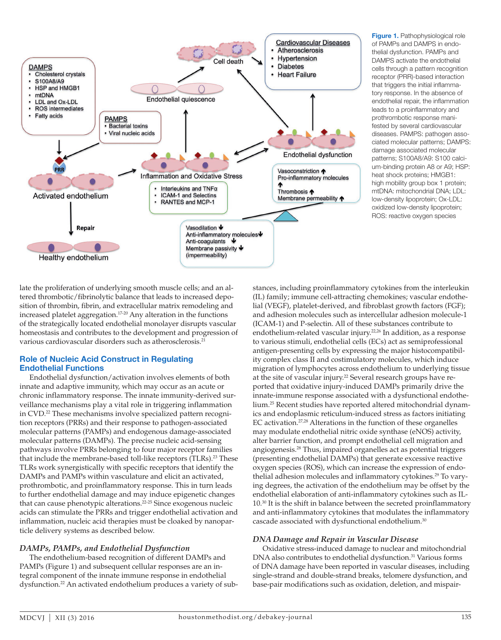

**Figure 1.** Pathophysiological role of PAMPs and DAMPS in endothelial dysfunction. PAMPs and DAMPS activate the endothelial cells through a pattern recognition receptor (PRR)-based interaction that triggers the initial inflammatory response. In the absence of endothelial repair, the inflammation leads to a proinflammatory and prothrombotic response manifested by several cardiovascular diseases. PAMPS: pathogen associated molecular patterns; DAMPS: damage associated molecular patterns; S100A8/A9: S100 calcium-binding protein A8 or A9; HSP: heat shock proteins; HMGB1: high mobility group box 1 protein; mtDNA: mitochondrial DNA; LDL: low-density lipoprotein; Ox-LDL: oxidized low-density lipoprotein; ROS: reactive oxygen species

late the proliferation of underlying smooth muscle cells; and an altered thrombotic/fibrinolytic balance that leads to increased deposition of thrombin, fibrin, and extracellular matrix remodeling and increased platelet aggregation.17-20 Any alteration in the functions of the strategically located endothelial monolayer disrupts vascular homeostasis and contributes to the development and progression of various cardiovascular disorders such as atherosclerosis.<sup>2</sup>

# **Role of Nucleic Acid Construct in Regulating Endothelial Functions**

Endothelial dysfunction/activation involves elements of both innate and adaptive immunity, which may occur as an acute or chronic inflammatory response. The innate immunity-derived surveillance mechanisms play a vital role in triggering inflammation in CVD.<sup>22</sup> These mechanisms involve specialized pattern recognition receptors (PRRs) and their response to pathogen-associated molecular patterns (PAMPs) and endogenous damage-associated molecular patterns (DAMPs). The precise nucleic acid-sensing pathways involve PRRs belonging to four major receptor families that include the membrane-based toll-like receptors (TLRs).<sup>23</sup> These TLRs work synergistically with specific receptors that identify the DAMPs and PAMPs within vasculature and elicit an activated, prothrombotic, and proinflammatory response. This in turn leads to further endothelial damage and may induce epigenetic changes that can cause phenotypic alterations.<sup>22-25</sup> Since exogenous nucleic acids can stimulate the PRRs and trigger endothelial activation and inflammation, nucleic acid therapies must be cloaked by nanoparticle delivery systems as described below.

#### *DAMPs, PAMPs, and Endothelial Dysfunction*

The endothelium-based recognition of different DAMPs and PAMPs (Figure 1) and subsequent cellular responses are an integral component of the innate immune response in endothelial dysfunction.<sup>22</sup> An activated endothelium produces a variety of substances, including proinflammatory cytokines from the interleukin (IL) family; immune cell-attracting chemokines; vascular endothelial (VEGF), platelet-derived, and fibroblast growth factors (FGF); and adhesion molecules such as intercellular adhesion molecule-1 (ICAM-1) and P-selectin. All of these substances contribute to endothelium-related vascular injury.<sup>22,26</sup> In addition, as a response to various stimuli, endothelial cells (ECs) act as semiprofessional antigen-presenting cells by expressing the major histocompatibility complex class II and costimulatory molecules, which induce migration of lymphocytes across endothelium to underlying tissue at the site of vascular injury.<sup>22</sup> Several research groups have reported that oxidative injury-induced DAMPs primarily drive the innate-immune response associated with a dysfunctional endothelium.25 Recent studies have reported altered mitochondrial dynamics and endoplasmic reticulum-induced stress as factors initiating EC activation.<sup>27,28</sup> Alterations in the function of these organelles may modulate endothelial nitric oxide synthase (eNOS) activity, alter barrier function, and prompt endothelial cell migration and angiogenesis.28 Thus, impaired organelles act as potential triggers (presenting endothelial DAMPs) that generate excessive reactive oxygen species (ROS), which can increase the expression of endothelial adhesion molecules and inflammatory cytokines.<sup>29</sup> To varying degrees, the activation of the endothelium may be offset by the endothelial elaboration of anti-inflammatory cytokines such as IL-10.<sup>30</sup> It is the shift in balance between the secreted proinflammatory and anti-inflammatory cytokines that modulates the inflammatory cascade associated with dysfunctional endothelium.30

#### *DNA Damage and Repair in Vascular Disease*

Oxidative stress-induced damage to nuclear and mitochondrial DNA also contributes to endothelial dysfunction.<sup>31</sup> Various forms of DNA damage have been reported in vascular diseases, including single-strand and double-strand breaks, telomere dysfunction, and base-pair modifications such as oxidation, deletion, and mispair-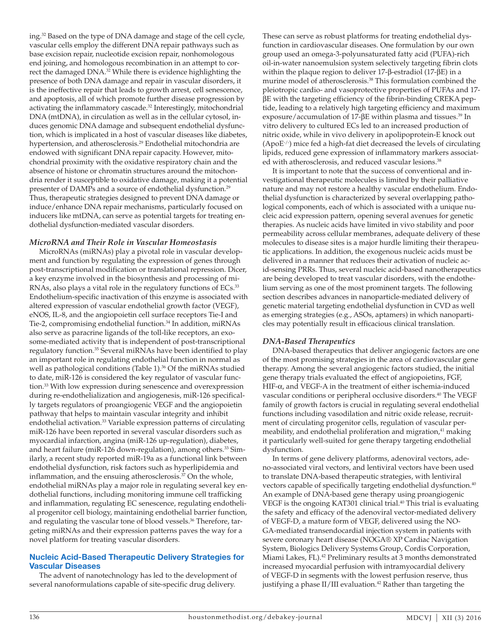ing.32 Based on the type of DNA damage and stage of the cell cycle, vascular cells employ the different DNA repair pathways such as base excision repair, nucleotide excision repair, nonhomologous end joining, and homologous recombination in an attempt to correct the damaged DNA.<sup>32</sup> While there is evidence highlighting the presence of both DNA damage and repair in vascular disorders, it is the ineffective repair that leads to growth arrest, cell senescence, and apoptosis, all of which promote further disease progression by activating the inflammatory cascade.<sup>32</sup> Interestingly, mitochondrial DNA (mtDNA), in circulation as well as in the cellular cytosol, induces genomic DNA damage and subsequent endothelial dysfunction, which is implicated in a host of vascular diseases like diabetes, hypertension, and atherosclerosis.29 Endothelial mitochondria are endowed with significant DNA repair capacity. However, mitochondrial proximity with the oxidative respiratory chain and the absence of histone or chromatin structures around the mitochondria render it susceptible to oxidative damage, making it a potential presenter of DAMPs and a source of endothelial dysfunction.29 Thus, therapeutic strategies designed to prevent DNA damage or induce/enhance DNA repair mechanisms, particularly focused on inducers like mtDNA, can serve as potential targets for treating endothelial dysfunction-mediated vascular disorders.

#### *MicroRNA and Their Role in Vascular Homeostasis*

MicroRNAs (miRNAs) play a pivotal role in vascular development and function by regulating the expression of genes through post-transcriptional modification or translational repression. Dicer, a key enzyme involved in the biosynthesis and processing of mi-RNAs, also plays a vital role in the regulatory functions of ECs.<sup>33</sup> Endothelium-specific inactivation of this enzyme is associated with altered expression of vascular endothelial growth factor (VEGF), eNOS, IL-8, and the angiopoietin cell surface receptors Tie-I and Tie-2, compromising endothelial function.<sup>34</sup> In addition, miRNAs also serve as paracrine ligands of the toll-like receptors, an exosome-mediated activity that is independent of post-transcriptional regulatory function.35 Several miRNAs have been identified to play an important role in regulating endothelial function in normal as well as pathological conditions (Table 1).<sup>36</sup> Of the miRNAs studied to date, miR-126 is considered the key regulator of vascular function.33 With low expression during senescence and overexpression during re-endothelialization and angiogenesis, miR-126 specifically targets regulators of proangiogenic VEGF and the angiopoietin pathway that helps to maintain vascular integrity and inhibit endothelial activation.<sup>33</sup> Variable expression patterns of circulating miR-126 have been reported in several vascular disorders such as myocardial infarction, angina (miR-126 up-regulation), diabetes, and heart failure (miR-126 down-regulation), among others.<sup>33</sup> Similarly, a recent study reported miR-19a as a functional link between endothelial dysfunction, risk factors such as hyperlipidemia and inflammation, and the ensuing atherosclerosis.<sup>37</sup> On the whole, endothelial miRNAs play a major role in regulating several key endothelial functions, including monitoring immune cell trafficking and inflammation, regulating EC senescence, regulating endothelial progenitor cell biology, maintaining endothelial barrier function, and regulating the vascular tone of blood vessels.<sup>36</sup> Therefore, targeting miRNAs and their expression patterns paves the way for a novel platform for treating vascular disorders.

#### **Nucleic Acid-Based Therapeutic Delivery Strategies for Vascular Diseases**

The advent of nanotechnology has led to the development of several nanoformulations capable of site-specific drug delivery.

These can serve as robust platforms for treating endothelial dysfunction in cardiovascular diseases. One formulation by our own group used an omega-3-polyunsaturated fatty acid (PUFA)-rich oil-in-water nanoemulsion system selectively targeting fibrin clots within the plaque region to deliver 17-β-estradiol (17-βE) in a murine model of atherosclerosis.38 This formulation combined the pleiotropic cardio- and vasoprotective properties of PUFAs and 17 βE with the targeting efficiency of the fibrin-binding CREKA peptide, leading to a relatively high targeting efficiency and maximum exposure/accumulation of 17- $\beta$ E within plasma and tissues.<sup>39</sup> In vitro delivery to cultured ECs led to an increased production of nitric oxide, while in vivo delivery in apolipoprotein-E knock out (ApoE-/-) mice fed a high-fat diet decreased the levels of circulating lipids, reduced gene expression of inflammatory markers associated with atherosclerosis, and reduced vascular lesions.<sup>38</sup>

It is important to note that the success of conventional and investigational therapeutic molecules is limited by their palliative nature and may not restore a healthy vascular endothelium. Endothelial dysfunction is characterized by several overlapping pathological components, each of which is associated with a unique nucleic acid expression pattern, opening several avenues for genetic therapies. As nucleic acids have limited in vivo stability and poor permeability across cellular membranes, adequate delivery of these molecules to disease sites is a major hurdle limiting their therapeutic applications. In addition, the exogenous nucleic acids must be delivered in a manner that reduces their activation of nucleic acid-sensing PRRs. Thus, several nucleic acid-based nanotherapeutics are being developed to treat vascular disorders, with the endothelium serving as one of the most prominent targets. The following section describes advances in nanoparticle-mediated delivery of genetic material targeting endothelial dysfunction in CVD as well as emerging strategies (e.g., ASOs, aptamers) in which nanoparticles may potentially result in efficacious clinical translation.

# *DNA-Based Therapeutics*

DNA-based therapeutics that deliver angiogenic factors are one of the most promising strategies in the area of cardiovascular gene therapy. Among the several angiogenic factors studied, the initial gene therapy trials evaluated the effect of angiopoietins, FGF, HIF-α, and VEGF-A in the treatment of either ischemia-induced vascular conditions or peripheral occlusive disorders.<sup>40</sup> The VEGF family of growth factors is crucial in regulating several endothelial functions including vasodilation and nitric oxide release, recruitment of circulating progenitor cells, regulation of vascular permeability, and endothelial proliferation and migration,<sup>41</sup> making it particularly well-suited for gene therapy targeting endothelial dysfunction.

In terms of gene delivery platforms, adenoviral vectors, adeno-associated viral vectors, and lentiviral vectors have been used to translate DNA-based therapeutic strategies, with lentiviral vectors capable of specifically targeting endothelial dysfunction.<sup>40</sup> An example of DNA-based gene therapy using proangiogenic VEGF is the ongoing KAT301 clinical trial.<sup>40</sup> This trial is evaluating the safety and efficacy of the adenoviral vector-mediated delivery of VEGF-D, a mature form of VEGF, delivered using the NO-GA-mediated transendocardial injection system in patients with severe coronary heart disease (NOGA® XP Cardiac Navigation System, Biologics Delivery Systems Group, Cordis Corporation, Miami Lakes, FL).42 Preliminary results at 3 months demonstrated increased myocardial perfusion with intramyocardial delivery of VEGF-D in segments with the lowest perfusion reserve, thus justifying a phase II/III evaluation.<sup>42</sup> Rather than targeting the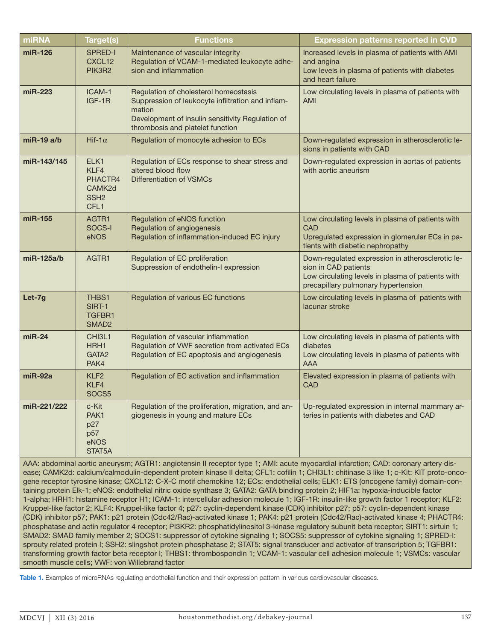| <b>miRNA</b> | Target(s)                                                     | <b>Functions</b>                                                                                                                                                                             | <b>Expression patterns reported in CVD</b>                                                                                                                           |
|--------------|---------------------------------------------------------------|----------------------------------------------------------------------------------------------------------------------------------------------------------------------------------------------|----------------------------------------------------------------------------------------------------------------------------------------------------------------------|
| miR-126      | SPRED-I<br>CXCL12<br>PIK3R2                                   | Maintenance of vascular integrity<br>Regulation of VCAM-1-mediated leukocyte adhe-<br>sion and inflammation                                                                                  | Increased levels in plasma of patients with AMI<br>and angina<br>Low levels in plasma of patients with diabetes<br>and heart failure                                 |
| miR-223      | ICAM-1<br>$IGF-1R$                                            | Regulation of cholesterol homeostasis<br>Suppression of leukocyte infiltration and inflam-<br>mation<br>Development of insulin sensitivity Regulation of<br>thrombosis and platelet function | Low circulating levels in plasma of patients with<br>AMI                                                                                                             |
| $miR-19a/b$  | Hif-1 $\alpha$                                                | Regulation of monocyte adhesion to ECs                                                                                                                                                       | Down-regulated expression in atherosclerotic le-<br>sions in patients with CAD                                                                                       |
| miR-143/145  | ELK1<br>KLF4<br>PHACTR4<br>CAMK2d<br>SSH <sub>2</sub><br>CFL1 | Regulation of ECs response to shear stress and<br>altered blood flow<br>Differentiation of VSMCs                                                                                             | Down-regulated expression in aortas of patients<br>with aortic aneurism                                                                                              |
| miR-155      | AGTR1<br>SOCS-I<br>eNOS                                       | Regulation of eNOS function<br>Regulation of angiogenesis<br>Regulation of inflammation-induced EC injury                                                                                    | Low circulating levels in plasma of patients with<br><b>CAD</b><br>Upregulated expression in glomerular ECs in pa-<br>tients with diabetic nephropathy               |
| miR-125a/b   | AGTR1                                                         | Regulation of EC proliferation<br>Suppression of endothelin-I expression                                                                                                                     | Down-regulated expression in atherosclerotic le-<br>sion in CAD patients<br>Low circulating levels in plasma of patients with<br>precapillary pulmonary hypertension |
| Let-7g       | THBS1<br>SIRT-1<br>TGFBR1<br>SMAD <sub>2</sub>                | Regulation of various EC functions                                                                                                                                                           | Low circulating levels in plasma of patients with<br>lacunar stroke                                                                                                  |
| $miR-24$     | CHI3L1<br>HRH1<br>GATA <sub>2</sub><br>PAK4                   | Regulation of vascular inflammation<br>Regulation of VWF secretion from activated ECs<br>Regulation of EC apoptosis and angiogenesis                                                         | Low circulating levels in plasma of patients with<br>diabetes<br>Low circulating levels in plasma of patients with<br><b>AAA</b>                                     |
| $miR-92a$    | KLF <sub>2</sub><br>KLF4<br>SOCS5                             | Regulation of EC activation and inflammation                                                                                                                                                 | Elevated expression in plasma of patients with<br><b>CAD</b>                                                                                                         |
| miR-221/222  | c-Kit<br>PAK1<br>p27<br>p57<br>eNOS<br>STAT5A                 | Regulation of the proliferation, migration, and an-<br>giogenesis in young and mature ECs                                                                                                    | Up-regulated expression in internal mammary ar-<br>teries in patients with diabetes and CAD                                                                          |

AAA: abdominal aortic aneurysm; AGTR1: angiotensin II receptor type 1; AMI: acute myocardial infarction; CAD: coronary artery disease; CAMK2d: calcium/calmodulin-dependent protein kinase II delta; CFL1: cofilin 1; CHI3L1: chitinase 3 like 1; c-Kit: KIT proto-oncogene receptor tyrosine kinase; CXCL12: C-X-C motif chemokine 12; ECs: endothelial cells; ELK1: ETS (oncogene family) domain-containing protein Elk-1; eNOS: endothelial nitric oxide synthase 3; GATA2: GATA binding protein 2; HIF1a: hypoxia-inducible factor 1-alpha; HRH1: histamine receptor H1; ICAM-1: intercellular adhesion molecule 1; IGF-1R: insulin-like growth factor 1 receptor; KLF2: Kruppel-like factor 2; KLF4: Kruppel-like factor 4; p27: cyclin-dependent kinase (CDK) inhibitor p27; p57: cyclin-dependent kinase (CDK) inhibitor p57; PAK1: p21 protein (Cdc42/Rac)-activated kinase 1; PAK4: p21 protein (Cdc42/Rac)-activated kinase 4; PHACTR4: phosphatase and actin regulator 4 receptor; PI3KR2: phosphatidylinositol 3-kinase regulatory subunit beta receptor; SIRT1: sirtuin 1; SMAD2: SMAD family member 2; SOCS1: suppressor of cytokine signaling 1; SOCS5: suppressor of cytokine signaling 1; SPRED-I: sprouty related protein I; SSH2: slingshot protein phosphatase 2; STAT5: signal transducer and activator of transcription 5; TGFBR1: transforming growth factor beta receptor I; THBS1: thrombospondin 1; VCAM-1: vascular cell adhesion molecule 1; VSMCs: vascular smooth muscle cells; VWF: von Willebrand factor

**Table 1.** Examples of microRNAs regulating endothelial function and their expression pattern in various cardiovascular diseases.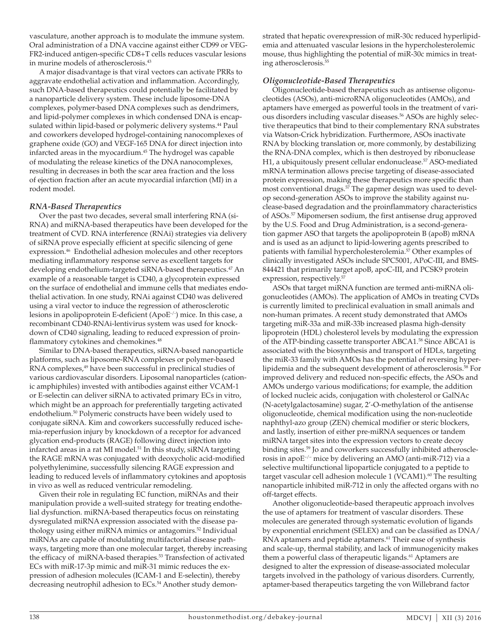vasculature, another approach is to modulate the immune system. Oral administration of a DNA vaccine against either CD99 or VEG-FR2-induced antigen-specific CD8+T cells reduces vascular lesions in murine models of atherosclerosis.43

A major disadvantage is that viral vectors can activate PRRs to aggravate endothelial activation and inflammation. Accordingly, such DNA-based therapeutics could potentially be facilitated by a nanoparticle delivery system. These include liposome-DNA complexes, polymer-based DNA complexes such as dendrimers, and lipid-polymer complexes in which condensed DNA is encapsulated within lipid-based or polymeric delivery systems.<sup>44</sup> Paul and coworkers developed hydrogel-containing nanocomplexes of graphene oxide (GO) and VEGF-165 DNA for direct injection into infarcted areas in the myocardium.45 The hydrogel was capable of modulating the release kinetics of the DNA nanocomplexes, resulting in decreases in both the scar area fraction and the loss of ejection fraction after an acute myocardial infarction (MI) in a rodent model.

# *RNA-Based Therapeutics*

Over the past two decades, several small interfering RNA (si-RNA) and miRNA-based therapeutics have been developed for the treatment of CVD. RNA interference (RNAi) strategies via delivery of siRNA prove especially efficient at specific silencing of gene expression.46 Endothelial adhesion molecules and other receptors mediating inflammatory response serve as excellent targets for developing endothelium-targeted siRNA-based therapeutics.<sup>47</sup> An example of a reasonable target is CD40, a glycoprotein expressed on the surface of endothelial and immune cells that mediates endothelial activation. In one study, RNAi against CD40 was delivered using a viral vector to induce the regression of atherosclerotic lesions in apolipoprotein E-deficient (ApoE<sup>-/-</sup>) mice. In this case, a recombinant CD40-RNAi-lentivirus system was used for knockdown of CD40 signaling, leading to reduced expression of proinflammatory cytokines and chemokines.<sup>48</sup>

Similar to DNA-based therapeutics, siRNA-based nanoparticle platforms, such as liposome-RNA complexes or polymer-based RNA complexes,<sup>49</sup> have been successful in preclinical studies of various cardiovascular disorders. Liposomal nanoparticles (cationic amphiphiles) invested with antibodies against either VCAM-1 or E-selectin can deliver siRNA to activated primary ECs in vitro, which might be an approach for preferentially targeting activated endothelium.50 Polymeric constructs have been widely used to conjugate siRNA. Kim and coworkers successfully reduced ischemia-reperfusion injury by knockdown of a receptor for advanced glycation end-products (RAGE) following direct injection into infarcted areas in a rat MI model.<sup>51</sup> In this study, siRNA targeting the RAGE mRNA was conjugated with deoxycholic acid-modified polyethylenimine, successfully silencing RAGE expression and leading to reduced levels of inflammatory cytokines and apoptosis in vivo as well as reduced ventricular remodeling.

Given their role in regulating EC function, miRNAs and their manipulation provide a well-suited strategy for treating endothelial dysfunction. miRNA-based therapeutics focus on reinstating dysregulated miRNA expression associated with the disease pathology using either miRNA mimics or antagomirs.<sup>52</sup> Individual miRNAs are capable of modulating multifactorial disease pathways, targeting more than one molecular target, thereby increasing the efficacy of miRNA-based therapies.<sup>53</sup> Transfection of activated ECs with miR-17-3p mimic and miR-31 mimic reduces the expression of adhesion molecules (ICAM-1 and E-selectin), thereby decreasing neutrophil adhesion to ECs.<sup>54</sup> Another study demonstrated that hepatic overexpression of miR-30c reduced hyperlipidemia and attenuated vascular lesions in the hypercholesterolemic mouse, thus highlighting the potential of miR-30c mimics in treating atherosclerosis.55

# *Oligonucleotide-Based Therapeutics*

Oligonucleotide-based therapeutics such as antisense oligonucleotides (ASOs), anti-microRNA oligonucleotides (AMOs), and aptamers have emerged as powerful tools in the treatment of various disorders including vascular diseases.<sup>56</sup> ASOs are highly selective therapeutics that bind to their complementary RNA substrates via Watson-Crick hybridization. Furthermore, ASOs inactivate RNA by blocking translation or, more commonly, by destabilizing the RNA-DNA complex, which is then destroyed by ribonuclease H1, a ubiquitously present cellular endonuclease.<sup>57</sup> ASO-mediated mRNA termination allows precise targeting of disease-associated protein expression, making these therapeutics more specific than most conventional drugs.<sup>57</sup> The gapmer design was used to develop second-generation ASOs to improve the stability against nuclease-based degradation and the proinflammatory characteristics of ASOs.57 Mipomersen sodium, the first antisense drug approved by the U.S. Food and Drug Administration, is a second-generation gapmer ASO that targets the apolipoprotein B (apoB) mRNA and is used as an adjunct to lipid-lowering agents prescribed to patients with familial hypercholesterolemia.<sup>57</sup> Other examples of clinically investigated ASOs include SPC5001, APoC-III, and BMS-844421 that primarily target apoB, apoC-III, and PCSK9 protein expression, respectively.57

ASOs that target miRNA function are termed anti-miRNA oligonucleotides (AMOs). The application of AMOs in treating CVDs is currently limited to preclinical evaluation in small animals and non-human primates. A recent study demonstrated that AMOs targeting miR-33a and miR-33b increased plasma high-density lipoprotein (HDL) cholesterol levels by modulating the expression of the ATP-binding cassette transporter ABCA1.58 Since ABCA1 is associated with the biosynthesis and transport of HDLs, targeting the miR-33 family with AMOs has the potential of reversing hyperlipidemia and the subsequent development of atherosclerosis.<sup>58</sup> For improved delivery and reduced non-specific effects, the ASOs and AMOs undergo various modifications; for example, the addition of locked nucleic acids, conjugation with cholesterol or GalNAc (N-acetylgalactosamine) sugar, 2'-O-methylation of the antisense oligonucleotide, chemical modification using the non-nucleotide naphthyl-azo group (ZEN) chemical modifier or steric blockers, and lastly, insertion of either pre-miRNA sequences or tandem miRNA target sites into the expression vectors to create decoy binding sites.<sup>59</sup> Jo and coworkers successfully inhibited atherosclerosis in apoE–/– mice by delivering an AMO (anti-miR-712) via a selective multifunctional lipoparticle conjugated to a peptide to target vascular cell adhesion molecule 1 (VCAM1).<sup>60</sup> The resulting nanoparticle inhibited miR-712 in only the affected organs with no off-target effects.

Another oligonucleotide-based therapeutic approach involves the use of aptamers for treatment of vascular disorders. These molecules are generated through systematic evolution of ligands by exponential enrichment (SELEX) and can be classified as DNA/ RNA aptamers and peptide aptamers.<sup>61</sup> Their ease of synthesis and scale-up, thermal stability, and lack of immunogenicity makes them a powerful class of therapeutic ligands.<sup>61</sup> Aptamers are designed to alter the expression of disease-associated molecular targets involved in the pathology of various disorders. Currently, aptamer-based therapeutics targeting the von Willebrand factor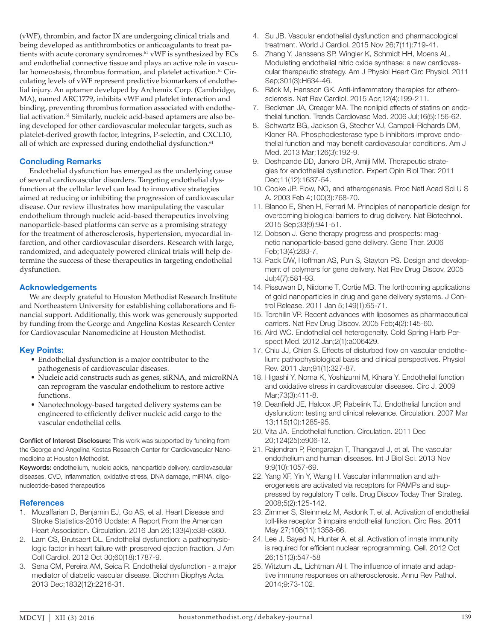(vWF), thrombin, and factor IX are undergoing clinical trials and being developed as antithrombotics or anticoagulants to treat patients with acute coronary syndromes.<sup>61</sup> vWF is synthesized by ECs and endothelial connective tissue and plays an active role in vascular homeostasis, thrombus formation, and platelet activation.<sup>61</sup> Circulating levels of vWF represent predictive biomarkers of endothelial injury. An aptamer developed by Archemix Corp. (Cambridge, MA), named ARC1779, inhibits vWF and platelet interaction and binding, preventing thrombus formation associated with endothelial activation.<sup>61</sup> Similarly, nucleic acid-based aptamers are also being developed for other cardiovascular molecular targets, such as platelet-derived growth factor, integrins, P-selectin, and CXCL10, all of which are expressed during endothelial dysfunction.<sup>61</sup>

# **Concluding Remarks**

Endothelial dysfunction has emerged as the underlying cause of several cardiovascular disorders. Targeting endothelial dysfunction at the cellular level can lead to innovative strategies aimed at reducing or inhibiting the progression of cardiovascular disease. Our review illustrates how manipulating the vascular endothelium through nucleic acid-based therapeutics involving nanoparticle-based platforms can serve as a promising strategy for the treatment of atherosclerosis, hypertension, myocardial infarction, and other cardiovascular disorders. Research with large, randomized, and adequately powered clinical trials will help determine the success of these therapeutics in targeting endothelial dysfunction.

#### **Acknowledgements**

We are deeply grateful to Houston Methodist Research Institute and Northeastern University for establishing collaborations and financial support. Additionally, this work was generously supported by funding from the George and Angelina Kostas Research Center for Cardiovascular Nanomedicine at Houston Methodist.

#### **Key Points:**

- Endothelial dysfunction is a major contributor to the pathogenesis of cardiovascular diseases.
- Nucleic acid constructs such as genes, siRNA, and microRNA can reprogram the vascular endothelium to restore active functions.
- Nanotechnology-based targeted delivery systems can be engineered to efficiently deliver nucleic acid cargo to the vascular endothelial cells.

Conflict of Interest Disclosure: This work was supported by funding from the George and Angelina Kostas Research Center for Cardiovascular Nanomedicine at Houston Methodist.

Keywords: endothelium, nucleic acids, nanoparticle delivery, cardiovascular diseases, CVD, inflammation, oxidative stress, DNA damage, miRNA, oligonucleotide-based therapeutics

#### **References**

- 1. Mozaffarian D, Benjamin EJ, Go AS, et al. Heart Disease and Stroke Statistics-2016 Update: A Report From the American Heart Association. Circulation. 2016 Jan 26;133(4):e38-e360.
- 2. Lam CS, Brutsaert DL. Endothelial dysfunction: a pathophysiologic factor in heart failure with preserved ejection fraction. J Am Coll Cardiol. 2012 Oct 30;60(18):1787-9.
- 3. Sena CM, Pereira AM, Seica R. Endothelial dysfunction a major mediator of diabetic vascular disease. Biochim Biophys Acta. 2013 Dec;1832(12):2216-31.
- 4. Su JB. Vascular endothelial dysfunction and pharmacological treatment. World J Cardiol. 2015 Nov 26;7(11):719-41.
- 5. Zhang Y, Janssens SP, Wingler K, Schmidt HH, Moens AL. Modulating endothelial nitric oxide synthase: a new cardiovascular therapeutic strategy. Am J Physiol Heart Circ Physiol. 2011 Sep;301(3):H634-46.
- 6. Bäck M, Hansson GK. Anti-inflammatory therapies for atherosclerosis. Nat Rev Cardiol. 2015 Apr;12(4):199-211.
- 7. Beckman JA, Creager MA. The nonlipid effects of statins on endothelial function. Trends Cardiovasc Med. 2006 Jul;16(5):156-62.
- 8. Schwartz BG, Jackson G, Stecher VJ, Campoli-Richards DM, Kloner RA. Phosphodiesterase type 5 inhibitors improve endothelial function and may benefit cardiovascular conditions. Am J Med. 2013 Mar;126(3):192-9.
- 9. Deshpande DD, Janero DR, Amiji MM. Therapeutic strategies for endothelial dysfunction. Expert Opin Biol Ther. 2011 Dec;11(12):1637-54.
- 10. Cooke JP. Flow, NO, and atherogenesis. Proc Natl Acad Sci U S A. 2003 Feb 4;100(3):768-70.
- 11. Blanco E, Shen H, Ferrari M. Principles of nanoparticle design for overcoming biological barriers to drug delivery. Nat Biotechnol. 2015 Sep;33(9):941-51.
- 12. Dobson J. Gene therapy progress and prospects: magnetic nanoparticle-based gene delivery. Gene Ther. 2006 Feb;13(4):283-7.
- 13. Pack DW, Hoffman AS, Pun S, Stayton PS. Design and development of polymers for gene delivery. Nat Rev Drug Discov. 2005 Jul;4(7):581-93.
- 14. Pissuwan D, Niidome T, Cortie MB. The forthcoming applications of gold nanoparticles in drug and gene delivery systems. J Control Release. 2011 Jan 5;149(1):65-71.
- 15. Torchilin VP. Recent advances with liposomes as pharmaceutical carriers. Nat Rev Drug Discov. 2005 Feb;4(2):145-60.
- 16. Aird WC. Endothelial cell heterogeneity. Cold Spring Harb Perspect Med. 2012 Jan;2(1):a006429.
- 17. Chiu JJ, Chien S. Effects of disturbed flow on vascular endothelium: pathophysiological basis and clinical perspectives. Physiol Rev. 2011 Jan;91(1):327-87.
- 18. Higashi Y, Noma K, Yoshizumi M, Kihara Y. Endothelial function and oxidative stress in cardiovascular diseases. Circ J. 2009 Mar;73(3):411-8.
- 19. Deanfield JE, Halcox JP, Rabelink TJ. Endothelial function and dysfunction: testing and clinical relevance. Circulation. 2007 Mar 13;115(10):1285-95.
- 20. Vita JA. Endothelial function. Circulation. 2011 Dec 20;124(25):e906-12.
- 21. Rajendran P, Rengarajan T, Thangavel J, et al. The vascular endothelium and human diseases. Int J Biol Sci. 2013 Nov 9;9(10):1057-69.
- 22. Yang XF, Yin Y, Wang H. Vascular inflammation and atherogenesis are activated via receptors for PAMPs and suppressed by regulatory T cells. Drug Discov Today Ther Strateg. 2008;5(2):125-142.
- 23. Zimmer S, Steinmetz M, Asdonk T, et al. Activation of endothelial toll-like receptor 3 impairs endothelial function. Circ Res. 2011 May 27;108(11):1358-66.
- 24. Lee J, Sayed N, Hunter A, et al. Activation of innate immunity is required for efficient nuclear reprogramming. Cell. 2012 Oct 26;151(3):547-58
- 25. Witztum JL, Lichtman AH. The influence of innate and adaptive immune responses on atherosclerosis. Annu Rev Pathol. 2014;9:73-102.